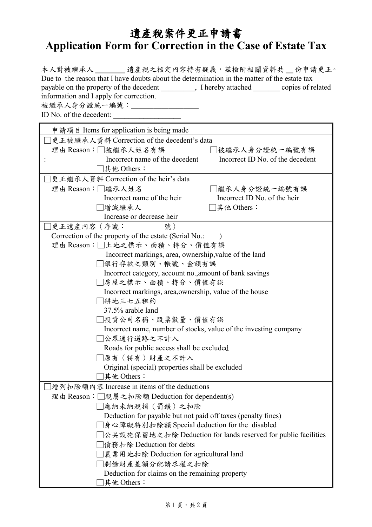## 遺產稅案件更正申請書 **Application Form for Correction in the Case of Estate Tax**

| 本人對被繼承人 ________ 遺產稅之核定內容持有疑義,茲檢附相關資料共 __ 份申請更正。<br>Due to the reason that I have doubts about the determination in the matter of the estate tax<br>payable on the property of the decedent __________, I hereby attached _________ copies of related<br>information and I apply for correction.<br>被繼承人身分證統一編號:<br>ID No. of the decedent: |  |  |  |
|---------------------------------------------------------------------------------------------------------------------------------------------------------------------------------------------------------------------------------------------------------------------------------------------------------------------------------------------|--|--|--|
| 申請項目 Items for application is being made                                                                                                                                                                                                                                                                                                    |  |  |  |
| □更正被繼承人資料 Correction of the decedent's data                                                                                                                                                                                                                                                                                                 |  |  |  |
| 理由 Reason:□被繼承人姓名有誤<br>□被繼承人身分證統一編號有誤                                                                                                                                                                                                                                                                                                       |  |  |  |
| Incorrect name of the decedent<br>Incorrect ID No. of the decedent                                                                                                                                                                                                                                                                          |  |  |  |
| □其他 Others:                                                                                                                                                                                                                                                                                                                                 |  |  |  |
| □更正繼承人資料 Correction of the heir's data                                                                                                                                                                                                                                                                                                      |  |  |  |
| 理由 Reason: ■繼承人姓名<br>□繼承人身分證統一編號有誤                                                                                                                                                                                                                                                                                                          |  |  |  |
| Incorrect name of the heir<br>Incorrect ID No. of the heir                                                                                                                                                                                                                                                                                  |  |  |  |
| □增減繼承人<br>□其他 Others:                                                                                                                                                                                                                                                                                                                       |  |  |  |
| Increase or decrease heir                                                                                                                                                                                                                                                                                                                   |  |  |  |
| 更正遺產內容(序號:<br>號)                                                                                                                                                                                                                                                                                                                            |  |  |  |
| Correction of the property of the estate (Serial No.:                                                                                                                                                                                                                                                                                       |  |  |  |
| 理由Reason:□土地之標示、面積、持分、價值有誤                                                                                                                                                                                                                                                                                                                  |  |  |  |
| Incorrect markings, area, ownership, value of the land                                                                                                                                                                                                                                                                                      |  |  |  |
| 銀行存款之類別、帳號、金額有誤                                                                                                                                                                                                                                                                                                                             |  |  |  |
| Incorrect category, account no., amount of bank savings                                                                                                                                                                                                                                                                                     |  |  |  |
| □房屋之標示、面積、持分、價值有誤                                                                                                                                                                                                                                                                                                                           |  |  |  |
| Incorrect markings, area, ownership, value of the house<br>□耕地三七五租約                                                                                                                                                                                                                                                                         |  |  |  |
| 37.5% arable land                                                                                                                                                                                                                                                                                                                           |  |  |  |
| ]投資公司名稱、股票數量、價值有誤                                                                                                                                                                                                                                                                                                                           |  |  |  |
| Incorrect name, number of stocks, value of the investing company                                                                                                                                                                                                                                                                            |  |  |  |
| ]公眾通行道路之不計入                                                                                                                                                                                                                                                                                                                                 |  |  |  |
| Roads for public access shall be excluded                                                                                                                                                                                                                                                                                                   |  |  |  |
| ]原有(特有)財產之不計入                                                                                                                                                                                                                                                                                                                               |  |  |  |
| Original (special) properties shall be excluded                                                                                                                                                                                                                                                                                             |  |  |  |
| 其他 Others:                                                                                                                                                                                                                                                                                                                                  |  |  |  |
| ]增列扣除額內容 Increase in items of the deductions                                                                                                                                                                                                                                                                                                |  |  |  |
| 理由 Reason: [ 親屬之扣除額 Deduction for dependent(s)                                                                                                                                                                                                                                                                                              |  |  |  |
| □應納未納稅捐 (罰鍰) 之扣除                                                                                                                                                                                                                                                                                                                            |  |  |  |
| Deduction for payable but not paid off taxes (penalty fines)                                                                                                                                                                                                                                                                                |  |  |  |
| □身心障礙特別扣除額 Special deduction for the disabled                                                                                                                                                                                                                                                                                               |  |  |  |
| □公共設施保留地之扣除 Deduction for lands reserved for public facilities                                                                                                                                                                                                                                                                              |  |  |  |
| □債務扣除 Deduction for debts                                                                                                                                                                                                                                                                                                                   |  |  |  |
| □農業用地扣除 Deduction for agricultural land                                                                                                                                                                                                                                                                                                     |  |  |  |
| ]剩餘財產差額分配請求權之扣除                                                                                                                                                                                                                                                                                                                             |  |  |  |
| Deduction for claims on the remaining property                                                                                                                                                                                                                                                                                              |  |  |  |
| 其他 Others:                                                                                                                                                                                                                                                                                                                                  |  |  |  |